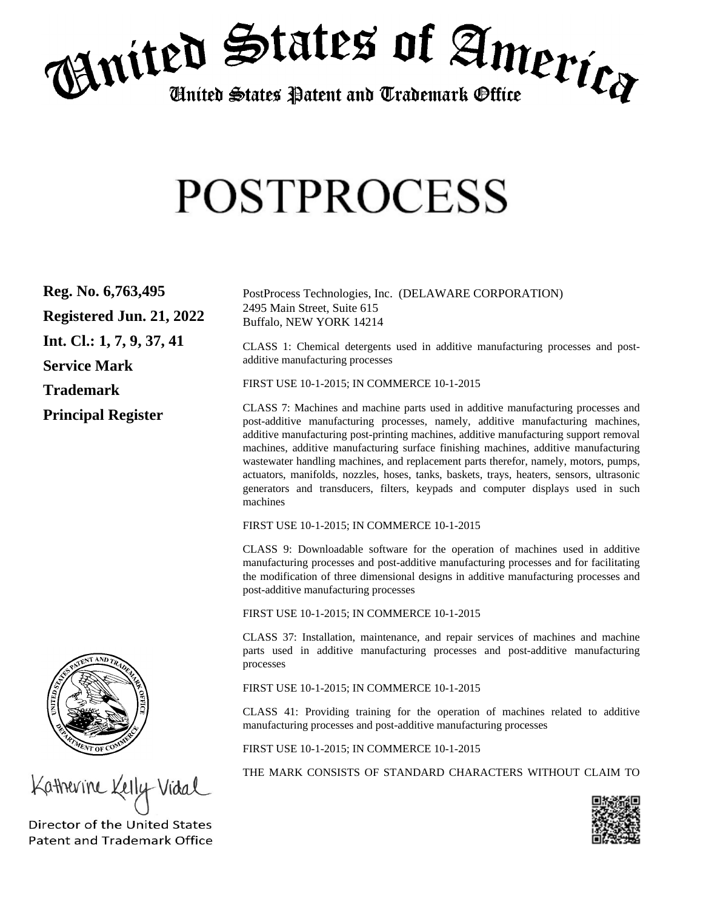

## **POSTPROCESS**

| Reg. No. 6,763,495          | PostProcess Technologies, Inc. (DELAWARE CORPORATION)                                                                                                                                                                                                                                                                                               |
|-----------------------------|-----------------------------------------------------------------------------------------------------------------------------------------------------------------------------------------------------------------------------------------------------------------------------------------------------------------------------------------------------|
| Registered Jun. 21, 2022    | 2495 Main Street, Suite 615<br>Buffalo, NEW YORK 14214                                                                                                                                                                                                                                                                                              |
| Int. Cl.: $1, 7, 9, 37, 41$ | CLASS 1: Chemical detergents used in additive manufacturing processes and post-<br>additive manufacturing processes                                                                                                                                                                                                                                 |
| <b>Service Mark</b>         |                                                                                                                                                                                                                                                                                                                                                     |
| <b>Trademark</b>            | FIRST USE 10-1-2015; IN COMMERCE 10-1-2015                                                                                                                                                                                                                                                                                                          |
| <b>Principal Register</b>   | CLASS 7: Machines and machine parts used in additive manufacturing processes and<br>post-additive manufacturing processes, namely, additive manufacturing machines,<br>additive manufacturing post-printing machines, additive manufacturing support removal<br>machines, additive manufacturing surface finishing machines, additive manufacturing |

wastewater handling machines, and replacement parts therefor, namely, motors, pumps, actuators, manifolds, nozzles, hoses, tanks, baskets, trays, heaters, sensors, ultrasonic generators and transducers, filters, keypads and computer displays used in such machines

FIRST USE 10-1-2015; IN COMMERCE 10-1-2015

CLASS 9: Downloadable software for the operation of machines used in additive manufacturing processes and post-additive manufacturing processes and for facilitating the modification of three dimensional designs in additive manufacturing processes and post-additive manufacturing processes

FIRST USE 10-1-2015; IN COMMERCE 10-1-2015

CLASS 37: Installation, maintenance, and repair services of machines and machine parts used in additive manufacturing processes and post-additive manufacturing processes

FIRST USE 10-1-2015; IN COMMERCE 10-1-2015

CLASS 41: Providing training for the operation of machines related to additive manufacturing processes and post-additive manufacturing processes

FIRST USE 10-1-2015; IN COMMERCE 10-1-2015

THE MARK CONSISTS OF STANDARD CHARACTERS WITHOUT CLAIM TO





Katherine Kelly Vidal

Director of the United States **Patent and Trademark Office**